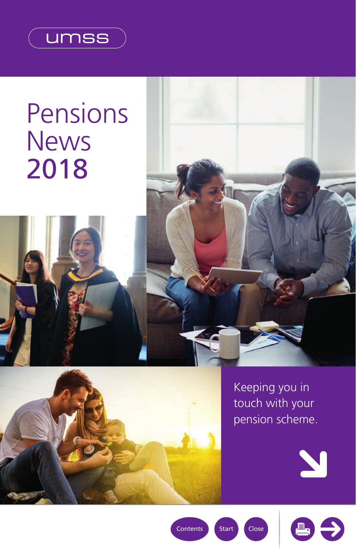<span id="page-0-0"></span>

# Pensions **News** 2018



Keeping you in touch with your pension scheme.





[Contents](#page-1-0) | [Start](#page-1-0) | Close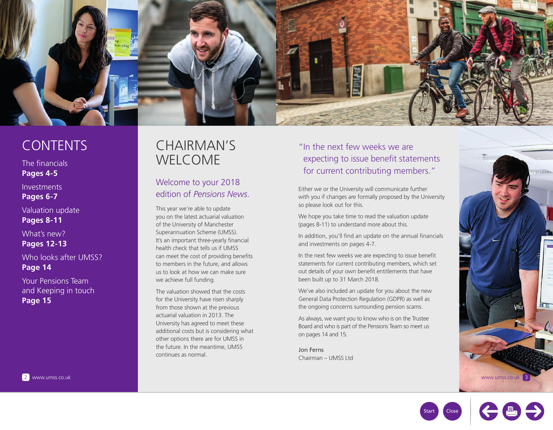<span id="page-1-0"></span>

## **CONTENTS**

The financials **[Pages 4-5](#page-2-0)**

Investments **[Pages 6-7](#page-3-0)**

Valuation update **[Pages 8-11](#page-4-0)**

What's new? **[Pages 12-13](#page-6-0)**

Who looks after UMSS?

**[Page 14](#page-7-0)**

Your Pensions Team and Keeping in touch **[Page 15](#page-8-0)**

## CHAIRMAN'S WELCOME

### Welcome to your 2018 edition of *Pensions News*.

This year we're able to update you on the latest actuarial valuation of the University of Manchester Superannuation Scheme (UMSS). It's an important three-yearly financial health check that tells us if UMSS can meet the cost of providing benefits to members in the future, and allows us to look at how we can make sure we achieve full funding.

The valuation showed that the costs for the University have risen sharply from those shown at the previous actuarial valuation in 2013. The University has agreed to meet these additional costs but is considering what other options there are for UMSS in the future. In the meantime, UMSS continues as normal.

## "In the next few weeks we are expecting to issue benefit statements for current contributing members."

Either we or the University will communicate further with you if changes are formally proposed by the University so please look out for this.

We hope you take time to read the valuation update [\(pages 8-11\)](#page-4-0) to understand more about this.

In addition, you'll find an update on the annual financials and investments o[n pages 4-7.](#page-2-0)

In the next few weeks we are expecting to issue benefit statements for current contributing members, which set out details of your own benefit entitlements that have been built up to 31 March 2018.

We've also included an update for you about the new General Data Protection Regulation (GDPR) as well as the ongoing concerns surrounding pension scams.

As always, we want you to know who is on the Trustee Board and who is part of the Pensions Team so meet us o[n pages 14 and 15.](#page-7-0)

Jon Ferns Chairman – UMSS Ltd



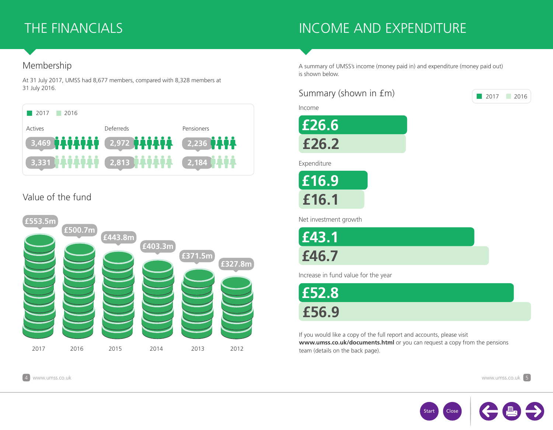## <span id="page-2-0"></span>THE FINANCIALS

## INCOME AND EXPENDITURE

### Membership

At 31 July 2017, UMSS had 8,677 members, compared with 8,328 members at 31 July 2016.



## Value of the fund



A summary of UMSS's income (money paid in) and expenditure (money paid out) is shown below.

### Summary (shown in £m)

Income



Expenditure

**£16.1 £16.9**

Net investment growth

**£43.1 £46.7**

Increase in fund value for the year

**£56.9 £52.8**

If you would like a copy of the full report and accounts, please visit **www.umss.co.uk/documents.html** or you can request a copy from the pensions team (details on the [back page\).](#page-8-0)



2017 2016

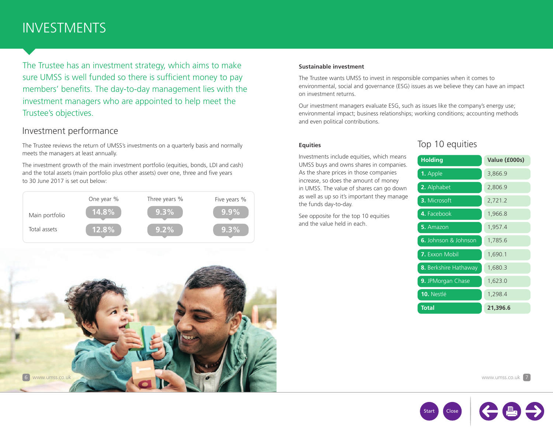## <span id="page-3-0"></span>INVESTMENTS

The Trustee has an investment strategy, which aims to make sure UMSS is well funded so there is sufficient money to pay members' benefits. The day-to-day management lies with the investment managers who are appointed to help meet the Trustee's objectives.

### Investment performance

The Trustee reviews the return of UMSS's investments on a quarterly basis and normally meets the managers at least annually.

The investment growth of the main investment portfolio (equities, bonds, LDI and cash) and the total assets (main portfolio plus other assets) over one, three and five years to 30 June 2017 is set out below:



#### **Sustainable investment**

The Trustee wants UMSS to invest in responsible companies when it comes to environmental, social and governance (ESG) issues as we believe they can have an impact on investment returns.

Our investment managers evaluate ESG, such as issues like the company's energy use; environmental impact; business relationships; working conditions; accounting methods and even political contributions.

#### **Equities**

Investments include equities, which means UMSS buys and owns shares in companies. As the share prices in those companies increase, so does the amount of money in UMSS. The value of shares can go down as well as up so it's important they manage the funds day-to-day.

See opposite for the top 10 equities and the value held in each.

### Top 10 equities

| <b>Holding</b>              | Value (£000s) |
|-----------------------------|---------------|
| <b>1.</b> Apple             | 3,866.9       |
| 2. Alphabet                 | 2,806.9       |
| 3. Microsoft                | 2,721.2       |
| 4. Facebook                 | 1,966.8       |
| 5. Amazon                   | 1,957.4       |
| <b>6.</b> Johnson & Johnson | 1,785.6       |
| <b>7.</b> Exxon Mobil       | 1,690.1       |
| 8. Berkshire Hathaway       | 1,680.3       |
| 9. JPMorgan Chase           | 1,623.0       |
| 10. Nestlé                  | 1,298.4       |
| Total                       | 21,396.6      |





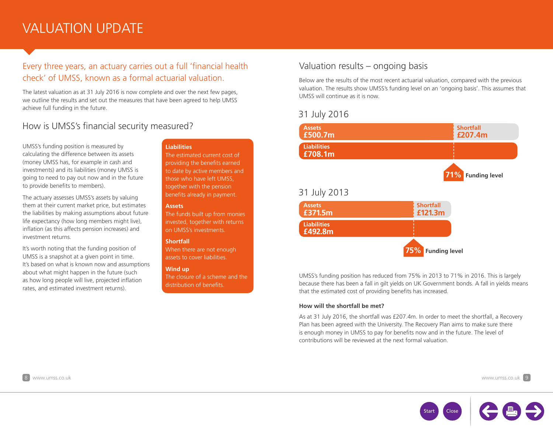## <span id="page-4-0"></span>VALUATION UPDATE

### Every three years, an actuary carries out a full 'financial health check' of UMSS, known as a formal actuarial valuation.

The latest valuation as at 31 July 2016 is now complete and over the next few pages, we outline the results and set out the measures that have been agreed to help UMSS achieve full funding in the future.

### How is UMSS's financial security measured?

UMSS's funding position is measured by calculating the difference between its assets (money UMSS has, for example in cash and investments) and its liabilities (money UMSS is going to need to pay out now and in the future to provide benefits to members).

The actuary assesses UMSS's assets by valuing them at their current market price, but estimates the liabilities by making assumptions about future life expectancy (how long members might live), inflation (as this affects pension increases) and investment returns.

It's worth noting that the funding position of UMSS is a snapshot at a given point in time. It's based on what is known now and assumptions about what might happen in the future (such as how long people will live, projected inflation rates, and estimated investment returns).

#### **Liabilities**

The estimated current cost of providing the benefits earned to date by active members and those who have left UMSS, together with the pension benefits already in payment.

#### **Assets**

The funds built up from monies invested, together with returns on UMSS's investments.

#### **Shortfall**

When there are not enough assets to cover liabilities.

#### **Wind up**

The closure of a scheme and the distribution of benefits.

### Valuation results – ongoing basis

Below are the results of the most recent actuarial valuation, compared with the previous valuation. The results show UMSS's funding level on an 'ongoing basis'. This assumes that UMSS will continue as it is now.

#### 31 July 2016



UMSS's funding position has reduced from 75% in 2013 to 71% in 2016. This is largely because there has been a fall in gilt yields on UK Government bonds. A fall in yields means that the estimated cost of providing benefits has increased.

#### **How will the shortfall be met?**

As at 31 July 2016, the shortfall was £207.4m. In order to meet the shortfall, a Recovery Plan has been agreed with the University. The Recovery Plan aims to make sure there is enough money in UMSS to pay for benefits now and in the future. The level of contributions will be reviewed at the next formal valuation.

8 www.umss.co.uk www.umss.co.uk 9

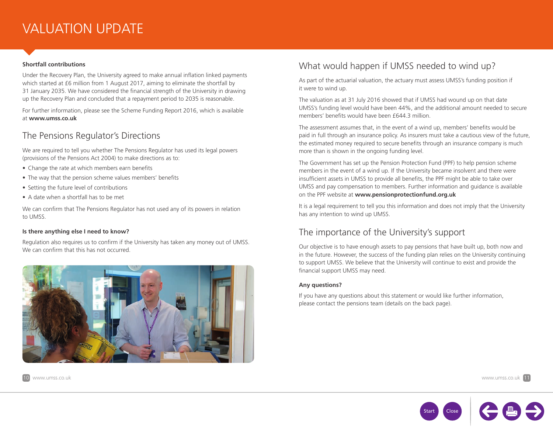## VALUATION UPDATE

#### **Shortfall contributions**

Under the Recovery Plan, the University agreed to make annual inflation linked payments which started at £6 million from 1 August 2017, aiming to eliminate the shortfall by 31 January 2035. We have considered the financial strength of the University in drawing up the Recovery Plan and concluded that a repayment period to 2035 is reasonable.

For further information, please see the Scheme Funding Report 2016, which is available at **www.umss.co.uk**

### The Pensions Regulator's Directions

We are required to tell you whether The Pensions Regulator has used its legal powers (provisions of the Pensions Act 2004) to make directions as to:

- Change the rate at which members earn benefits
- The way that the pension scheme values members' benefits
- Setting the future level of contributions
- A date when a shortfall has to be met

We can confirm that The Pensions Regulator has not used any of its powers in relation to UMSS.

#### **Is there anything else I need to know?**

Regulation also requires us to confirm if the University has taken any money out of UMSS. We can confirm that this has not occurred.



## What would happen if UMSS needed to wind up?

As part of the actuarial valuation, the actuary must assess UMSS's funding position if it were to wind up.

The valuation as at 31 July 2016 showed that if UMSS had wound up on that date UMSS's funding level would have been 44%, and the additional amount needed to secure members' benefits would have been £644.3 million.

The assessment assumes that, in the event of a wind up, members' benefits would be paid in full through an insurance policy. As insurers must take a cautious view of the future, the estimated money required to secure benefits through an insurance company is much more than is shown in the ongoing funding level.

The Government has set up the Pension Protection Fund (PPF) to help pension scheme members in the event of a wind up. If the University became insolvent and there were insufficient assets in UMSS to provide all benefits, the PPF might be able to take over UMSS and pay compensation to members. Further information and guidance is available on the PPF website at **www.pensionprotectionfund.org.uk**

It is a legal requirement to tell you this information and does not imply that the University has any intention to wind up UMSS.

### The importance of the University's support

Our objective is to have enough assets to pay pensions that have built up, both now and in the future. However, the success of the funding plan relies on the University continuing to support UMSS. We believe that the University will continue to exist and provide the financial support UMSS may need.

#### **Any questions?**

If you have any questions about this statement or would like further information, please contact the pensions team (details on the [back page\).](#page-8-0)



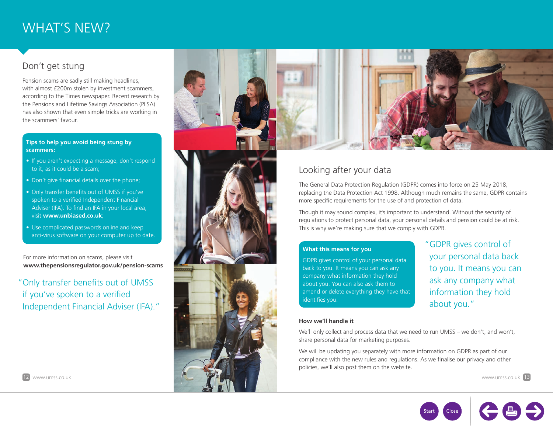## <span id="page-6-0"></span>WHAT'S NEW?

## Don't get stung

Pension scams are sadly still making headlines, with almost £200m stolen by investment scammers, according to the Times newspaper. Recent research by the Pensions and Lifetime Savings Association (PLSA) has also shown that even simple tricks are working in the scammers' favour.

#### **Tips to help you avoid being stung by scammers:**

- If you aren't expecting a message, don't respond to it, as it could be a scam;
- Don't give financial details over the phone;
- Only transfer benefits out of UMSS if you've spoken to a verified Independent Financial Adviser (IFA). To find an IFA in your local area, visit **www.unbiased.co.uk**;
- Use complicated passwords online and keep anti-virus software on your computer up to date.

For more information on scams, please visit **www.thepensionsregulator.gov.uk/pension-scams** 

"Only transfer benefits out of UMSS if you've spoken to a verified Independent Financial Adviser (IFA)."





## Looking after your data

The General Data Protection Regulation (GDPR) comes into force on 25 May 2018, replacing the Data Protection Act 1998. Although much remains the same, GDPR contains more specific requirements for the use of and protection of data.

Though it may sound complex, it's important to understand. Without the security of regulations to protect personal data, your personal details and pension could be at risk. This is why we're making sure that we comply with GDPR.

#### **What this means for you**

GDPR gives control of your personal data back to you. It means you can ask any company what information they hold about you. You can also ask them to amend or delete everything they have that identifies you.

"GDPR gives control of your personal data back to you. It means you can ask any company what information they hold about you."

#### **How we'll handle it**

We'll only collect and process data that we need to run UMSS – we don't, and won't, share personal data for marketing purposes.

We will be updating you separately with more information on GDPR as part of our compliance with the new rules and regulations. As we finalise our privacy and other policies, we'll also post them on the website.



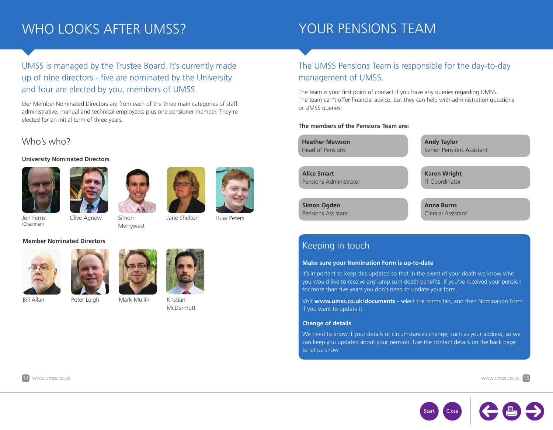## <span id="page-7-0"></span>WHO LOOKS AFTER UMSS?

## YOUR PENSIONS TEAM

## UMSS is managed by the Trustee Board. It's currently made up of nine directors - five are nominated by the University and four are elected by you, members of UMSS.

Our Member Nominated Directors are from each of the three main categories of staff: administrative, manual and technical employees; plus one pensioner member. They're elected for an initial term of three years.

#### Who's who?

#### **University Nominated Directors**











Jon Ferns (Chairman)

Simon Merrywest Clive Agnew Jane Shelton

Huw Peters

#### **Member Nominated Directors**





Bill Allan Peter Leigh Kristian Mark Mullin





McDermott

## The UMSS Pensions Team is responsible for the day-to-day management of UMSS.

The team is your first point of contact if you have any queries regarding UMSS. The team can't offer financial advice, but they can help with administration questions or UMSS queries.

#### **The members of the Pensions Team are:**

**Heather Mawson** Head of Pensions

**Alice Smart**  Pensions Administrator

**Simon Ogden** Pensions Assistant **Andy Taylor** Senior Pensions Assistant

**Karen Wright** IT Coordinator

**Anna Burns**  Clerical Assistant

## Keeping in touch

#### **Make sure your Nomination Form is up-to-date**

It's important to keep this updated so that in the event of your death we know who you would like to receive any lump sum death benefits. If you've received your pension for more than five years you don't need to update your form.

Visit **[www.umss.co.uk/documents](http://www.umss.co.uk/documents.html)** - select the forms tab, and then Nomination Form if you want to update it.

#### **Change of details**

We need to know if your details or circumstances change, such as your address, so we can keep you updated about your pension. Use the contact details on th[e back page](#page-8-0)  to let us know.